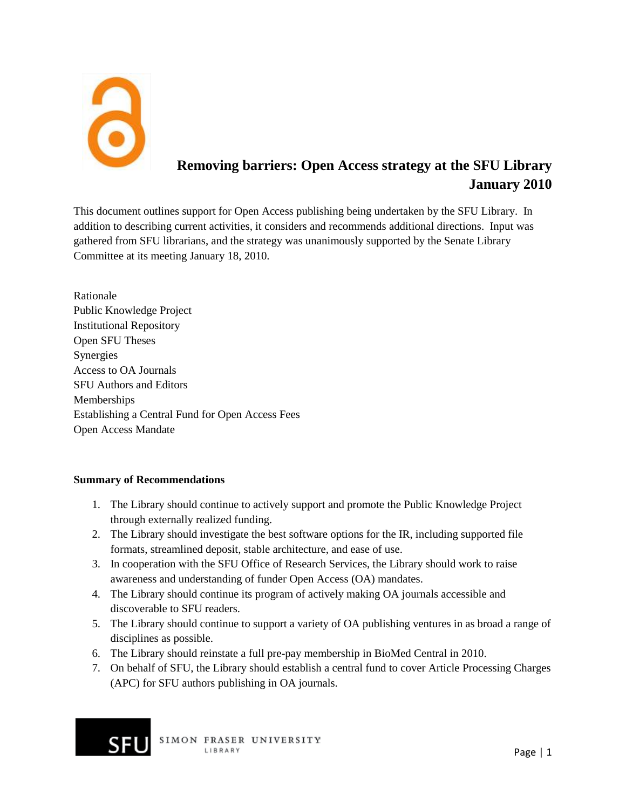

# **Removing barriers: Open Access strategy at the SFU Library January 2010**

This document outlines support for Open Access publishing being undertaken by the SFU Library. In addition to describing current activities, it considers and recommends additional directions. Input was gathered from SFU librarians, and the strategy was unanimously supported by the Senate Library Committee at its meeting January 18, 2010.

Rationale Public Knowledge Project Institutional Repository Open SFU Theses **Synergies** Access to OA Journals SFU Authors and Editors Memberships Establishing a Central Fund for Open Access Fees Open Access Mandate

## **Summary of Recommendations**

- 1. The Library should continue to actively support and promote the Public Knowledge Project through externally realized funding.
- 2. The Library should investigate the best software options for the IR, including supported file formats, streamlined deposit, stable architecture, and ease of use.
- 3. In cooperation with the SFU Office of Research Services, the Library should work to raise awareness and understanding of funder Open Access (OA) mandates.
- 4. The Library should continue its program of actively making OA journals accessible and discoverable to SFU readers.
- 5. The Library should continue to support a variety of OA publishing ventures in as broad a range of disciplines as possible.
- 6. The Library should reinstate a full pre-pay membership in BioMed Central in 2010.
- 7. On behalf of SFU, the Library should establish a central fund to cover Article Processing Charges (APC) for SFU authors publishing in OA journals.

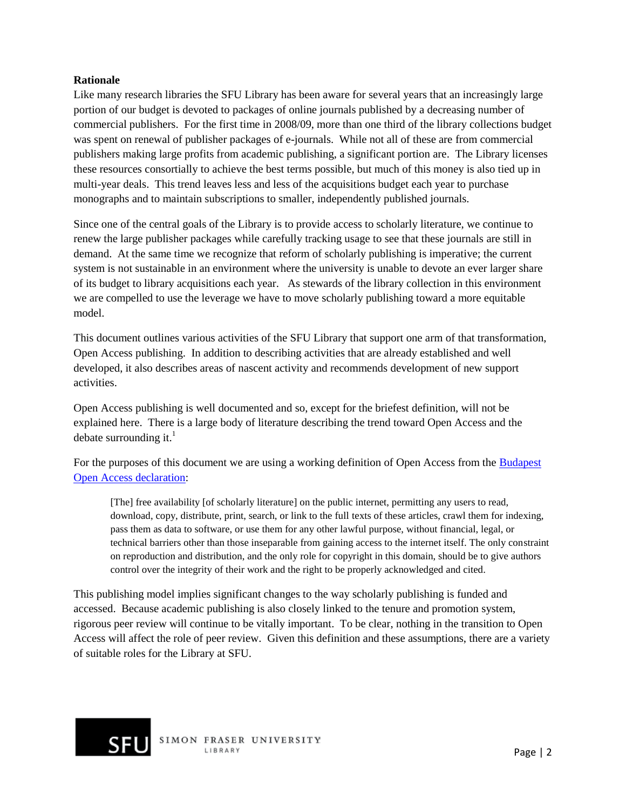#### **Rationale**

Like many research libraries the SFU Library has been aware for several years that an increasingly large portion of our budget is devoted to packages of online journals published by a decreasing number of commercial publishers. For the first time in 2008/09, more than one third of the library collections budget was spent on renewal of publisher packages of e-journals. While not all of these are from commercial publishers making large profits from academic publishing, a significant portion are. The Library licenses these resources consortially to achieve the best terms possible, but much of this money is also tied up in multi-year deals. This trend leaves less and less of the acquisitions budget each year to purchase monographs and to maintain subscriptions to smaller, independently published journals.

Since one of the central goals of the Library is to provide access to scholarly literature, we continue to renew the large publisher packages while carefully tracking usage to see that these journals are still in demand. At the same time we recognize that reform of scholarly publishing is imperative; the current system is not sustainable in an environment where the university is unable to devote an ever larger share of its budget to library acquisitions each year. As stewards of the library collection in this environment we are compelled to use the leverage we have to move scholarly publishing toward a more equitable model.

This document outlines various activities of the SFU Library that support one arm of that transformation, Open Access publishing. In addition to describing activities that are already established and well developed, it also describes areas of nascent activity and recommends development of new support activities.

Open Access publishing is well documented and so, except for the briefest definition, will not be explained here. There is a large body of literature describing the trend toward Open Access and the debate surrounding it. $<sup>1</sup>$ </sup>

For the purposes of this document we are using a working definition of Open Access from the [Budapest](http://www.soros.org/openaccess/read.shtml)  [Open Access declaration:](http://www.soros.org/openaccess/read.shtml)

[The] free availability [of scholarly literature] on the public internet, permitting any users to read, download, copy, distribute, print, search, or link to the full texts of these articles, crawl them for indexing, pass them as data to software, or use them for any other lawful purpose, without financial, legal, or technical barriers other than those inseparable from gaining access to the internet itself. The only constraint on reproduction and distribution, and the only role for copyright in this domain, should be to give authors control over the integrity of their work and the right to be properly acknowledged and cited.

This publishing model implies significant changes to the way scholarly publishing is funded and accessed. Because academic publishing is also closely linked to the tenure and promotion system, rigorous peer review will continue to be vitally important. To be clear, nothing in the transition to Open Access will affect the role of peer review. Given this definition and these assumptions, there are a variety of suitable roles for the Library at SFU.

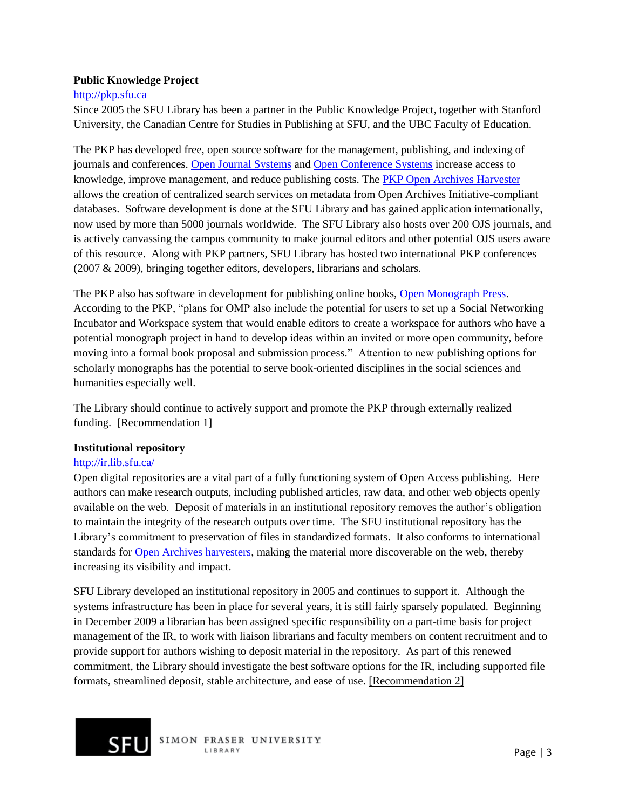#### **Public Knowledge Project**

#### [http://pkp.sfu.ca](http://pkp.sfu.ca/)

Since 2005 the SFU Library has been a partner in the Public Knowledge Project, together with Stanford University, the Canadian Centre for Studies in Publishing at SFU, and the UBC Faculty of Education.

The PKP has developed free, open source software for the management, publishing, and indexing of journals and conferences. [Open Journal Systems](http://pkp.sfu.ca/ojs) and [Open Conference Systems](http://pkp.sfu.ca/ocs) increase access to knowledge, improve management, and reduce publishing costs. The **PKP Open Archives Harvester** allows the creation of centralized search services on metadata from Open Archives Initiative-compliant databases. Software development is done at the SFU Library and has gained application internationally, now used by more than 5000 journals worldwide. The SFU Library also hosts over 200 OJS journals, and is actively canvassing the campus community to make journal editors and other potential OJS users aware of this resource. Along with PKP partners, SFU Library has hosted two international PKP conferences (2007 & 2009), bringing together editors, developers, librarians and scholars.

The PKP also has software in development for publishing online books, [Open Monograph Press.](http://pkp.sfu.ca/omp) According to the PKP, "plans for OMP also include the potential for users to set up a Social Networking Incubator and Workspace system that would enable editors to create a workspace for authors who have a potential monograph project in hand to develop ideas within an invited or more open community, before moving into a formal book proposal and submission process.‖ Attention to new publishing options for scholarly monographs has the potential to serve book-oriented disciplines in the social sciences and humanities especially well.

The Library should continue to actively support and promote the PKP through externally realized funding. [Recommendation 1]

#### **Institutional repository**

## <http://ir.lib.sfu.ca/>

Open digital repositories are a vital part of a fully functioning system of Open Access publishing. Here authors can make research outputs, including published articles, raw data, and other web objects openly available on the web. Deposit of materials in an institutional repository removes the author's obligation to maintain the integrity of the research outputs over time. The SFU institutional repository has the Library's commitment to preservation of files in standardized formats. It also conforms to international standards for [Open Archives harvesters,](http://www.openarchives.org/) making the material more discoverable on the web, thereby increasing its visibility and impact.

SFU Library developed an institutional repository in 2005 and continues to support it. Although the systems infrastructure has been in place for several years, it is still fairly sparsely populated. Beginning in December 2009 a librarian has been assigned specific responsibility on a part-time basis for project management of the IR, to work with liaison librarians and faculty members on content recruitment and to provide support for authors wishing to deposit material in the repository. As part of this renewed commitment, the Library should investigate the best software options for the IR, including supported file formats, streamlined deposit, stable architecture, and ease of use. [Recommendation 2]

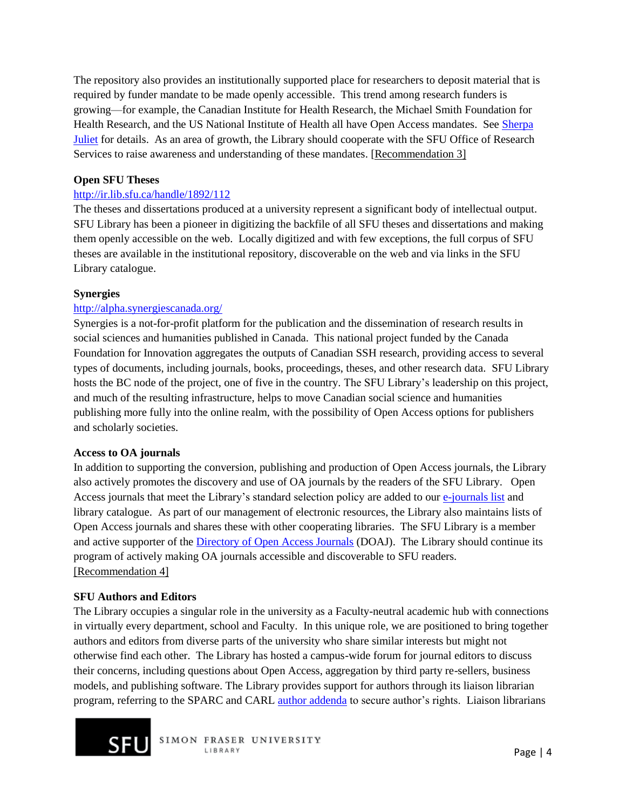The repository also provides an institutionally supported place for researchers to deposit material that is required by funder mandate to be made openly accessible. This trend among research funders is growing—for example, the Canadian Institute for Health Research, the Michael Smith Foundation for Health Research, and the US National Institute of Health all have Open Access mandates. See [Sherpa](http://www.sherpa.ac.uk/juliet/)  [Juliet](http://www.sherpa.ac.uk/juliet/) for details. As an area of growth, the Library should cooperate with the SFU Office of Research Services to raise awareness and understanding of these mandates. [Recommendation 3]

## **Open SFU Theses**

## <http://ir.lib.sfu.ca/handle/1892/112>

The theses and dissertations produced at a university represent a significant body of intellectual output. SFU Library has been a pioneer in digitizing the backfile of all SFU theses and dissertations and making them openly accessible on the web. Locally digitized and with few exceptions, the full corpus of SFU theses are available in the institutional repository, discoverable on the web and via links in the SFU Library catalogue.

## **Synergies**

## <http://alpha.synergiescanada.org/>

Synergies is a not-for-profit platform for the publication and the dissemination of research results in social sciences and humanities published in Canada. This national project funded by the Canada Foundation for Innovation aggregates the outputs of Canadian SSH research, providing access to several types of documents, including journals, books, proceedings, theses, and other research data. SFU Library hosts the BC node of the project, one of five in the country. The SFU Library's leadership on this project, and much of the resulting infrastructure, helps to move Canadian social science and humanities publishing more fully into the online realm, with the possibility of Open Access options for publishers and scholarly societies.

#### **Access to OA journals**

In addition to supporting the conversion, publishing and production of Open Access journals, the Library also actively promotes the discovery and use of OA journals by the readers of the SFU Library. Open Access journals that meet the Library's standard selection policy are added to our [e-journals list](http://cufts2.lib.sfu.ca/CJDB/BVAS/browse/show?search_type=startswith&search_terms=open+access&submit=Search&browse_field=association) and library catalogue. As part of our management of electronic resources, the Library also maintains lists of Open Access journals and shares these with other cooperating libraries. The SFU Library is a member and active supporter of the [Directory of Open Access Journals](http://www.doaj.org/) (DOAJ). The Library should continue its program of actively making OA journals accessible and discoverable to SFU readers. [Recommendation 4]

#### **SFU Authors and Editors**

The Library occupies a singular role in the university as a Faculty-neutral academic hub with connections in virtually every department, school and Faculty. In this unique role, we are positioned to bring together authors and editors from diverse parts of the university who share similar interests but might not otherwise find each other. The Library has hosted a campus-wide forum for journal editors to discuss their concerns, including questions about Open Access, aggregation by third party re-sellers, business models, and publishing software. The Library provides support for authors through its liaison librarian program, referring to the SPARC and CARL [author addenda](http://www.carl-abrc.ca/projects/author/author-e.html#addendum) to secure author's rights. Liaison librarians



SIMON FRASER UNIVERSITY LIBRARY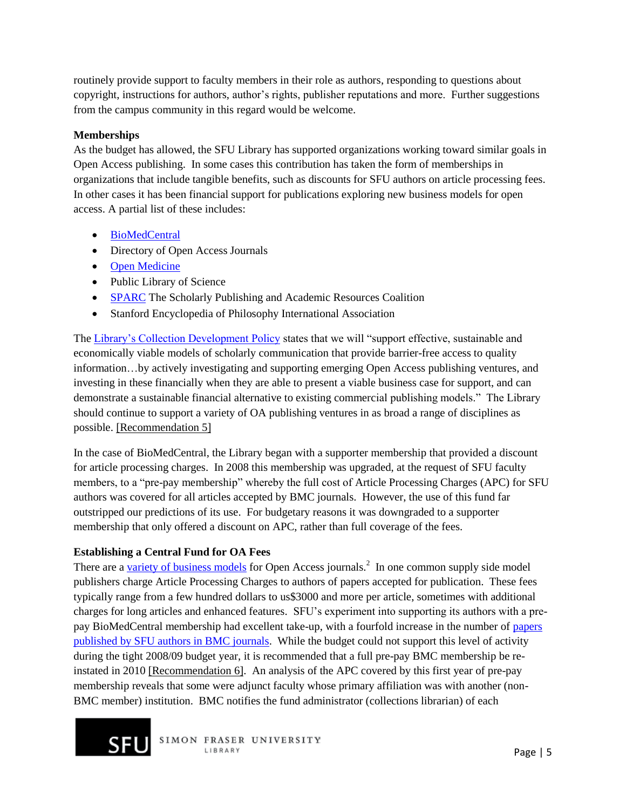routinely provide support to faculty members in their role as authors, responding to questions about copyright, instructions for authors, author's rights, publisher reputations and more. Further suggestions from the campus community in this regard would be welcome.

## **Memberships**

As the budget has allowed, the SFU Library has supported organizations working toward similar goals in Open Access publishing. In some cases this contribution has taken the form of memberships in organizations that include tangible benefits, such as discounts for SFU authors on article processing fees. In other cases it has been financial support for publications exploring new business models for open access. A partial list of these includes:

- [BioMedCentral](http://www.biomedcentral.com/)
- Directory of Open Access Journals
- [Open Medicine](http://www.openmedicine.ca/)
- Public Library of Science
- [SPARC](http://www.arl.org/sparc) The Scholarly Publishing and Academic Resources Coalition
- Stanford Encyclopedia of Philosophy International Association

The [Library's Collection Development Policy](http://www.lib.sfu.ca/collections/collections-policies#scholarlypub) states that we will "support effective, sustainable and economically viable models of scholarly communication that provide barrier-free access to quality information…by actively investigating and supporting emerging Open Access publishing ventures, and investing in these financially when they are able to present a viable business case for support, and can demonstrate a sustainable financial alternative to existing commercial publishing models." The Library should continue to support a variety of OA publishing ventures in as broad a range of disciplines as possible. [Recommendation 5]

In the case of BioMedCentral, the Library began with a supporter membership that provided a discount for article processing charges. In 2008 this membership was upgraded, at the request of SFU faculty members, to a "pre-pay membership" whereby the full cost of Article Processing Charges (APC) for SFU authors was covered for all articles accepted by BMC journals. However, the use of this fund far outstripped our predictions of its use. For budgetary reasons it was downgraded to a supporter membership that only offered a discount on APC, rather than full coverage of the fees.

## **Establishing a Central Fund for OA Fees**

There are a [variety of business models](http://www.arl.org/sparc/publisher/incomemodels/) for Open Access journals.<sup>2</sup> In one common supply side model publishers charge Article Processing Charges to authors of papers accepted for publication. These fees typically range from a few hundred dollars to us\$3000 and more per article, sometimes with additional charges for long articles and enhanced features. SFU's experiment into supporting its authors with a prepay BioMedCentral membership had excellent take-up, with a fourfold increase in the number of [papers](http://www.biomedcentral.com/inst/34206)  [published by SFU authors in BMC journals.](http://www.biomedcentral.com/inst/34206) While the budget could not support this level of activity during the tight 2008/09 budget year, it is recommended that a full pre-pay BMC membership be reinstated in 2010 [Recommendation 6]. An analysis of the APC covered by this first year of pre-pay membership reveals that some were adjunct faculty whose primary affiliation was with another (non-BMC member) institution. BMC notifies the fund administrator (collections librarian) of each



SIMON FRASER UNIVERSITY LIBRARY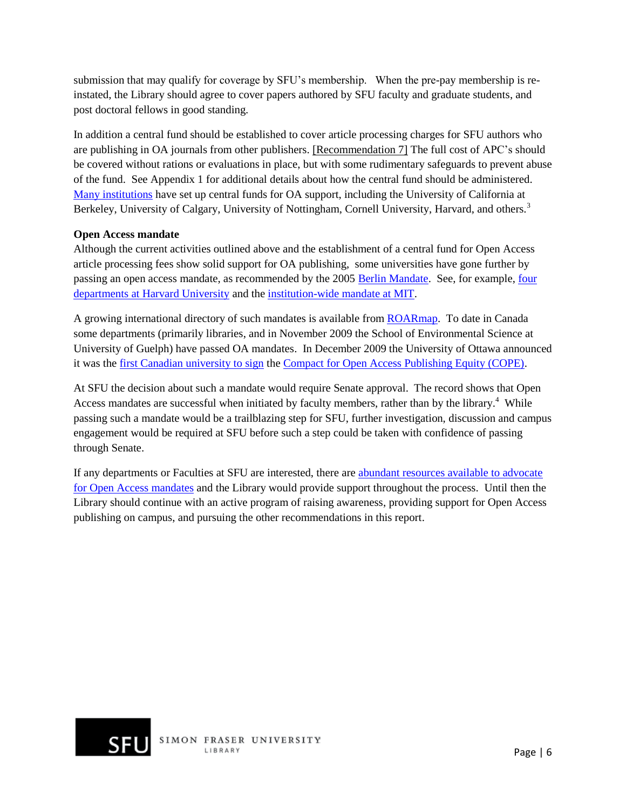submission that may qualify for coverage by SFU's membership. When the pre-pay membership is reinstated, the Library should agree to cover papers authored by SFU faculty and graduate students, and post doctoral fellows in good standing.

In addition a central fund should be established to cover article processing charges for SFU authors who are publishing in OA journals from other publishers. [Recommendation 7] The full cost of APC's should be covered without rations or evaluations in place, but with some rudimentary safeguards to prevent abuse of the fund. See Appendix 1 for additional details about how the central fund should be administered. [Many institutions](http://www.oacompact.org/) have set up central funds for OA support, including the University of California at Berkeley, University of Calgary, University of Nottingham, Cornell University, Harvard, and others.<sup>3</sup>

## **Open Access mandate**

Although the current activities outlined above and the establishment of a central fund for Open Access article processing fees show solid support for OA publishing, some universities have gone further by passing an open access mandate, as recommended by the 2005 [Berlin Mandate.](http://www.eprints.org/events/berlin3/outcomes.html) See, for example, [four](http://osc.hul.harvard.edu/OpenAccess/policytexts.php)  [departments at Harvard University](http://osc.hul.harvard.edu/OpenAccess/policytexts.php) and the [institution-wide mandate at MIT.](http://web.mit.edu/newsoffice/2009/open-access-0320.html)

A growing international directory of such mandates is available fro[m ROARmap.](http://www.eprints.org/openaccess/policysignup/) To date in Canada some departments (primarily libraries, and in November 2009 the School of Environmental Science at University of Guelph) have passed OA mandates. In December 2009 the University of Ottawa announced it was the [first Canadian university to sign](http://www.media.uottawa.ca/mediaroom/news-details_1824.html) the [Compact for Open Access Publishing Equity \(COPE\).](http://www.oacompact.org/)

At SFU the decision about such a mandate would require Senate approval. The record shows that Open Access mandates are successful when initiated by faculty members, rather than by the library.<sup>4</sup> While passing such a mandate would be a trailblazing step for SFU, further investigation, discussion and campus engagement would be required at SFU before such a step could be taken with confidence of passing through Senate.

If any departments or Faculties at SFU are interested, there are abundant [resources available to advocate](http://www.arl.org/sparc/advocacy/campus/)  [for Open Access mandates](http://www.arl.org/sparc/advocacy/campus/) and the Library would provide support throughout the process. Until then the Library should continue with an active program of raising awareness, providing support for Open Access publishing on campus, and pursuing the other recommendations in this report.

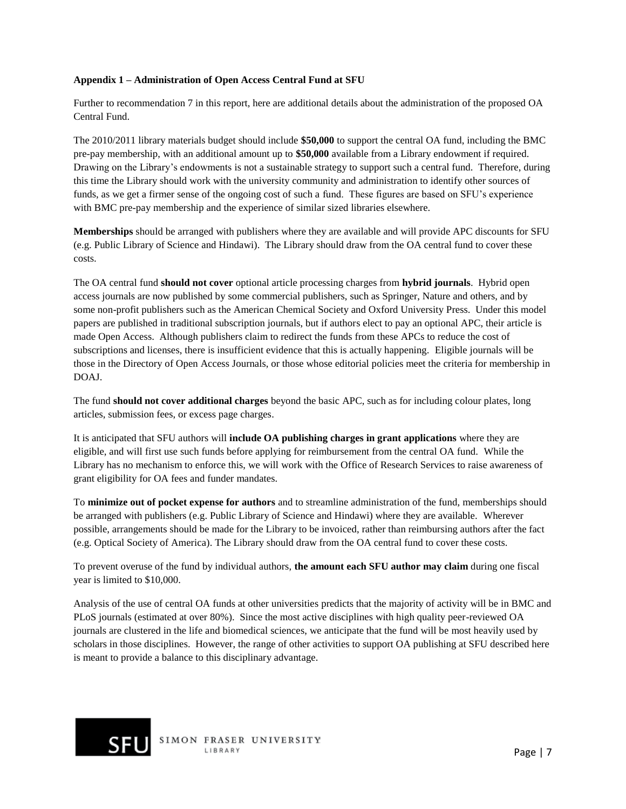#### **Appendix 1 – Administration of Open Access Central Fund at SFU**

Further to recommendation 7 in this report, here are additional details about the administration of the proposed OA Central Fund.

The 2010/2011 library materials budget should include **\$50,000** to support the central OA fund, including the BMC pre-pay membership, with an additional amount up to **\$50,000** available from a Library endowment if required. Drawing on the Library's endowments is not a sustainable strategy to support such a central fund. Therefore, during this time the Library should work with the university community and administration to identify other sources of funds, as we get a firmer sense of the ongoing cost of such a fund. These figures are based on SFU's experience with BMC pre-pay membership and the experience of similar sized libraries elsewhere.

**Memberships** should be arranged with publishers where they are available and will provide APC discounts for SFU (e.g. Public Library of Science and Hindawi). The Library should draw from the OA central fund to cover these costs.

The OA central fund **should not cover** optional article processing charges from **hybrid journals**. Hybrid open access journals are now published by some commercial publishers, such as Springer, Nature and others, and by some non-profit publishers such as the American Chemical Society and Oxford University Press. Under this model papers are published in traditional subscription journals, but if authors elect to pay an optional APC, their article is made Open Access. Although publishers claim to redirect the funds from these APCs to reduce the cost of subscriptions and licenses, there is insufficient evidence that this is actually happening. Eligible journals will be those in the Directory of Open Access Journals, or those whose editorial policies meet the criteria for membership in DOAJ.

The fund **should not cover additional charges** beyond the basic APC, such as for including colour plates, long articles, submission fees, or excess page charges.

It is anticipated that SFU authors will **include OA publishing charges in grant applications** where they are eligible, and will first use such funds before applying for reimbursement from the central OA fund. While the Library has no mechanism to enforce this, we will work with the Office of Research Services to raise awareness of grant eligibility for OA fees and funder mandates.

To **minimize out of pocket expense for authors** and to streamline administration of the fund, memberships should be arranged with publishers (e.g. Public Library of Science and Hindawi) where they are available. Wherever possible, arrangements should be made for the Library to be invoiced, rather than reimbursing authors after the fact (e.g. Optical Society of America). The Library should draw from the OA central fund to cover these costs.

To prevent overuse of the fund by individual authors, **the amount each SFU author may claim** during one fiscal year is limited to \$10,000.

Analysis of the use of central OA funds at other universities predicts that the majority of activity will be in BMC and PLoS journals (estimated at over 80%). Since the most active disciplines with high quality peer-reviewed OA journals are clustered in the life and biomedical sciences, we anticipate that the fund will be most heavily used by scholars in those disciplines. However, the range of other activities to support OA publishing at SFU described here is meant to provide a balance to this disciplinary advantage.